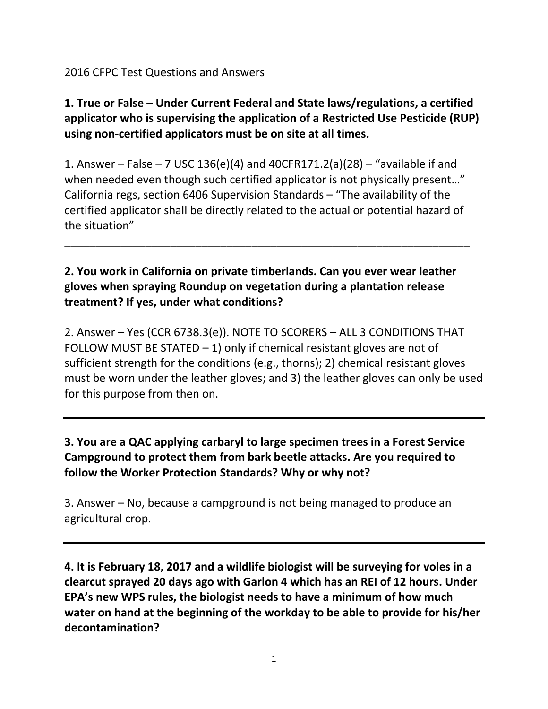#### 2016 CFPC Test Questions and Answers

# **1. True or False – Under Current Federal and State laws/regulations, a certified applicator who is supervising the application of a Restricted Use Pesticide (RUP) using non-certified applicators must be on site at all times.**

1. Answer – False – 7 USC 136(e)(4) and 40CFR171.2(a)(28) – "available if and when needed even though such certified applicator is not physically present..." California regs, section 6406 Supervision Standards – "The availability of the certified applicator shall be directly related to the actual or potential hazard of the situation"

\_\_\_\_\_\_\_\_\_\_\_\_\_\_\_\_\_\_\_\_\_\_\_\_\_\_\_\_\_\_\_\_\_\_\_\_\_\_\_\_\_\_\_\_\_\_\_\_\_\_\_\_\_\_\_\_\_\_\_\_\_\_\_\_\_

### **2. You work in California on private timberlands. Can you ever wear leather gloves when spraying Roundup on vegetation during a plantation release treatment? If yes, under what conditions?**

2. Answer – Yes (CCR 6738.3(e)). NOTE TO SCORERS – ALL 3 CONDITIONS THAT FOLLOW MUST BE STATED  $-1$ ) only if chemical resistant gloves are not of sufficient strength for the conditions (e.g., thorns); 2) chemical resistant gloves must be worn under the leather gloves; and 3) the leather gloves can only be used for this purpose from then on.

### **3. You are a QAC applying carbaryl to large specimen trees in a Forest Service Campground to protect them from bark beetle attacks. Are you required to follow the Worker Protection Standards? Why or why not?**

3. Answer – No, because a campground is not being managed to produce an agricultural crop.

**4. It is February 18, 2017 and a wildlife biologist will be surveying for voles in a clearcut sprayed 20 days ago with Garlon 4 which has an REI of 12 hours. Under EPA's new WPS rules, the biologist needs to have a minimum of how much water on hand at the beginning of the workday to be able to provide for his/her decontamination?**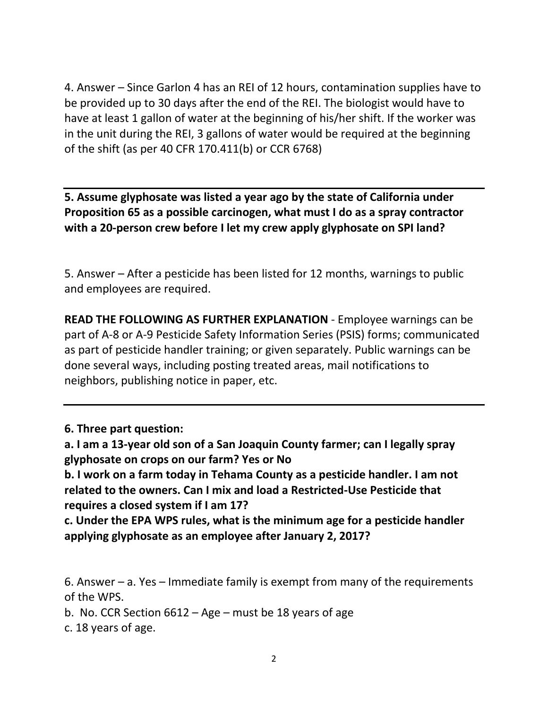4. Answer – Since Garlon 4 has an REI of 12 hours, contamination supplies have to be provided up to 30 days after the end of the REI. The biologist would have to have at least 1 gallon of water at the beginning of his/her shift. If the worker was in the unit during the REI, 3 gallons of water would be required at the beginning of the shift (as per 40 CFR 170.411(b) or CCR 6768)

**5. Assume glyphosate was listed a year ago by the state of California under Proposition 65 as a possible carcinogen, what must I do as a spray contractor with a 20-person crew before I let my crew apply glyphosate on SPI land?** 

5. Answer – After a pesticide has been listed for 12 months, warnings to public and employees are required.

**READ THE FOLLOWING AS FURTHER EXPLANATION** - Employee warnings can be part of A-8 or A-9 Pesticide Safety Information Series (PSIS) forms; communicated as part of pesticide handler training; or given separately. Public warnings can be done several ways, including posting treated areas, mail notifications to neighbors, publishing notice in paper, etc.

**6. Three part question:**

**b. I work on a farm today in Tehama County as a pesticide handler. I am not related to the owners. Can I mix and load a Restricted-Use Pesticide that requires a closed system if I am 17?**

**c. Under the EPA WPS rules, what is the minimum age for a pesticide handler applying glyphosate as an employee after January 2, 2017?**

6. Answer – a. Yes – Immediate family is exempt from many of the requirements of the WPS.

b. No. CCR Section 6612 – Age – must be 18 years of age

c. 18 years of age.

**a. I am a 13-year old son of a San Joaquin County farmer; can I legally spray glyphosate on crops on our farm? Yes or No**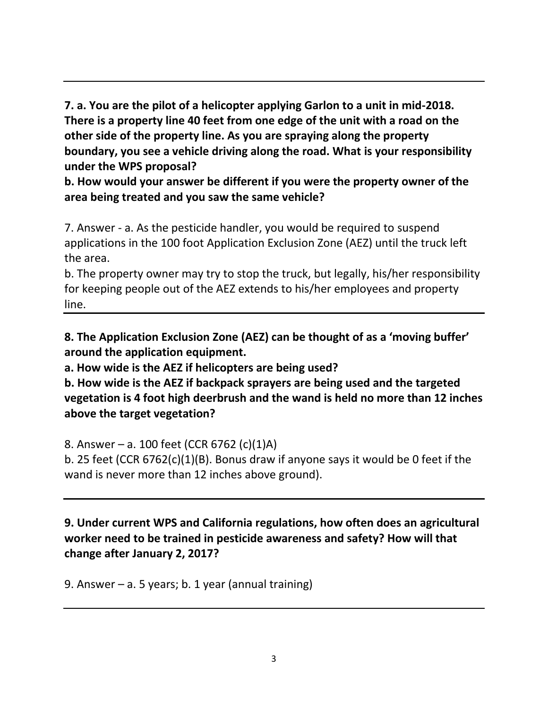**7. a. You are the pilot of a helicopter applying Garlon to a unit in mid-2018. There is a property line 40 feet from one edge of the unit with a road on the other side of the property line. As you are spraying along the property boundary, you see a vehicle driving along the road. What is your responsibility under the WPS proposal?**

**b. How would your answer be different if you were the property owner of the area being treated and you saw the same vehicle?**

7. Answer - a. As the pesticide handler, you would be required to suspend applications in the 100 foot Application Exclusion Zone (AEZ) until the truck left the area.

b. The property owner may try to stop the truck, but legally, his/her responsibility for keeping people out of the AEZ extends to his/her employees and property line.

**8. The Application Exclusion Zone (AEZ) can be thought of as a 'moving buffer' around the application equipment.** 

**a. How wide is the AEZ if helicopters are being used?**

**b. How wide is the AEZ if backpack sprayers are being used and the targeted vegetation is 4 foot high deerbrush and the wand is held no more than 12 inches above the target vegetation?**

8. Answer – a. 100 feet (CCR 6762 (c)(1)A)

b. 25 feet (CCR 6762(c)(1)(B). Bonus draw if anyone says it would be 0 feet if the wand is never more than 12 inches above ground).

**9. Under current WPS and California regulations, how often does an agricultural worker need to be trained in pesticide awareness and safety? How will that change after January 2, 2017?**

9. Answer – a. 5 years; b. 1 year (annual training)